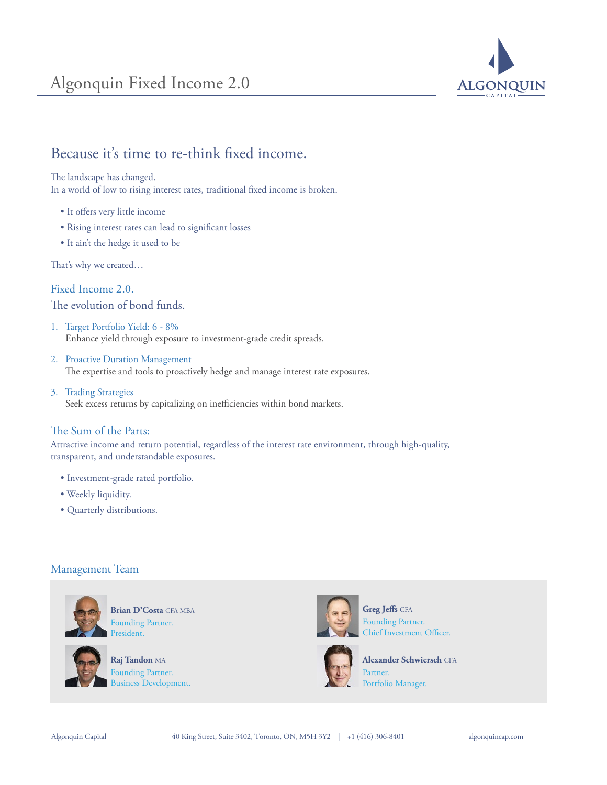

# Because it's time to re-think fixed income.

The landscape has changed.

In a world of low to rising interest rates, traditional fixed income is broken.

- It offers very little income
- Rising interest rates can lead to significant losses
- It ain't the hedge it used to be

That's why we created...

Fixed Income 2.0. The evolution of bond funds.

- 1. Target Portfolio Yield: 6 8% Enhance yield through exposure to investment-grade credit spreads.
- 2. Proactive Duration Management The expertise and tools to proactively hedge and manage interest rate exposures.
- 3. Trading Strategies Seek excess returns by capitalizing on inefficiencies within bond markets.

## The Sum of the Parts:

Attractive income and return potential, regardless of the interest rate environment, through high-quality, transparent, and understandable exposures.

- Investment-grade rated portfolio.
- Weekly liquidity.
- Quarterly distributions.

### Management Team



**Brian D'Costa** CFA MBA Founding Partner. President.



**Raj Tandon** MA Founding Partner. Business Development.





**Alexander Schwiersch** CFA Partner. Portfolio Manager.